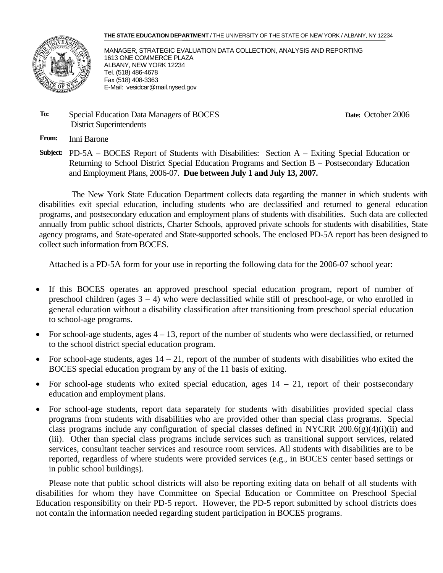#### **THE STATE EDUCATION DEPARTMENT** / THE UNIVERSITY OF THE STATE OF NEW YORK / ALBANY, NY 12234



MANAGER, STRATEGIC EVALUATION DATA COLLECTION, ANALYSIS AND REPORTING 1613 ONE COMMERCE PLAZA ALBANY, NEW YORK 12234 Tel. (518) 486-4678 Fax (518) 408-3363 E-Mail: vesidcar@mail.nysed.gov

#### **To:** Special Education Data Managers of BOCES District Superintendents

**Date:** October 2006

**From:** Inni Barone

**Subject:** PD-5A – BOCES Report of Students with Disabilities: Section A – Exiting Special Education or Returning to School District Special Education Programs and Section B – Postsecondary Education and Employment Plans, 2006-07. **Due between July 1 and July 13, 2007.** 

The New York State Education Department collects data regarding the manner in which students with disabilities exit special education, including students who are declassified and returned to general education programs, and postsecondary education and employment plans of students with disabilities. Such data are collected annually from public school districts, Charter Schools, approved private schools for students with disabilities, State agency programs, and State-operated and State-supported schools. The enclosed PD-5A report has been designed to collect such information from BOCES.

Attached is a PD-5A form for your use in reporting the following data for the 2006-07 school year:

- If this BOCES operates an approved preschool special education program, report of number of preschool children (ages  $3 - 4$ ) who were declassified while still of preschool-age, or who enrolled in general education without a disability classification after transitioning from preschool special education to school-age programs.
- For school-age students, ages  $4 13$ , report of the number of students who were declassified, or returned to the school district special education program.
- For school-age students, ages  $14 21$ , report of the number of students with disabilities who exited the BOCES special education program by any of the 11 basis of exiting.
- For school-age students who exited special education, ages  $14 21$ , report of their postsecondary education and employment plans.
- For school-age students, report data separately for students with disabilities provided special class programs from students with disabilities who are provided other than special class programs. Special class programs include any configuration of special classes defined in NYCRR 200.6(g)(4)(i)(ii) and (iii). Other than special class programs include services such as transitional support services, related services, consultant teacher services and resource room services. All students with disabilities are to be reported, regardless of where students were provided services (e.g., in BOCES center based settings or in public school buildings).

Please note that public school districts will also be reporting exiting data on behalf of all students with disabilities for whom they have Committee on Special Education or Committee on Preschool Special Education responsibility on their PD-5 report. However, the PD-5 report submitted by school districts does not contain the information needed regarding student participation in BOCES programs.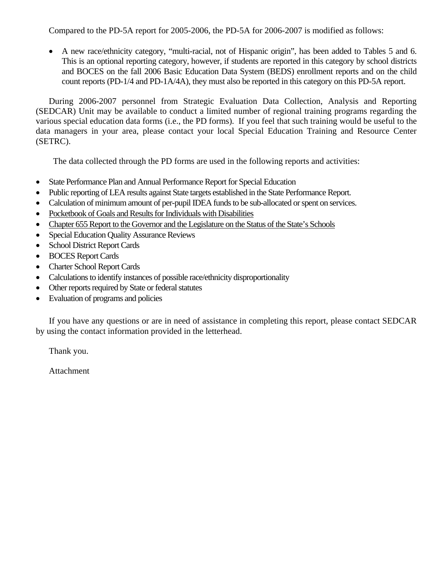Compared to the PD-5A report for 2005-2006, the PD-5A for 2006-2007 is modified as follows:

• A new race/ethnicity category, "multi-racial, not of Hispanic origin", has been added to Tables 5 and 6. This is an optional reporting category, however, if students are reported in this category by school districts and BOCES on the fall 2006 Basic Education Data System (BEDS) enrollment reports and on the child count reports (PD-1/4 and PD-1A/4A), they must also be reported in this category on this PD-5A report.

During 2006-2007 personnel from Strategic Evaluation Data Collection, Analysis and Reporting (SEDCAR) Unit may be available to conduct a limited number of regional training programs regarding the various special education data forms (i.e., the PD forms). If you feel that such training would be useful to the data managers in your area, please contact your local Special Education Training and Resource Center (SETRC).

The data collected through the PD forms are used in the following reports and activities:

- State Performance Plan and Annual Performance Report for Special Education
- Public reporting of LEA results against State targets established in the State Performance Report.
- Calculation of minimum amount of per-pupil IDEA funds to be sub-allocated or spent on services.
- Pocketbook of Goals and Results for Individuals with Disabilities
- Chapter 655 Report to the Governor and the Legislature on the Status of the State's Schools
- Special Education Quality Assurance Reviews
- School District Report Cards
- BOCES Report Cards
- Charter School Report Cards
- Calculations to identify instances of possible race/ethnicity disproportionality
- Other reports required by State or federal statutes
- Evaluation of programs and policies

If you have any questions or are in need of assistance in completing this report, please contact SEDCAR by using the contact information provided in the letterhead.

Thank you.

Attachment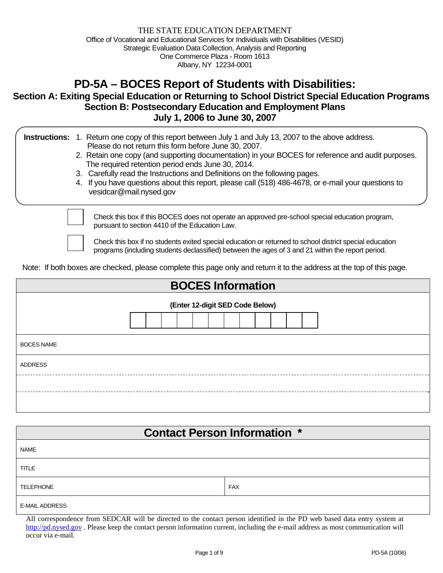# **PD-5A – BOCES Report of Students with Disabilities:**

# **Section A: Exiting Special Education or Returning to School District Special Education Programs Section B: Postsecondary Education and Employment Plans July 1, 2006 to June 30, 2007**

|  | <b>Instructions:</b> 1. Return one copy of this report between July 1 and July 13, 2007 to the above address.<br>Please do not return this form before June 30, 2007.<br>2. Retain one copy (and supporting documentation) in your BOCES for reference and audit purposes.<br>The required retention period ends June 30, 2014.<br>3. Carefully read the Instructions and Definitions on the following pages.<br>4. If you have questions about this report, please call (518) 486-4678, or e-mail your questions to<br>vesidcar@mail.nysed.gov |  |
|--|-------------------------------------------------------------------------------------------------------------------------------------------------------------------------------------------------------------------------------------------------------------------------------------------------------------------------------------------------------------------------------------------------------------------------------------------------------------------------------------------------------------------------------------------------|--|
|  | Check this box if this BOCES does not operate an approved pre-school special education program,                                                                                                                                                                                                                                                                                                                                                                                                                                                 |  |

pursuant to section 4410 of the Education Law.

Check this box if no students exited special education or returned to school district special education programs (including students declassified) between the ages of 3 and 21 within the report period.

Note: If both boxes are checked, please complete this page only and return it to the address at the top of this page.

| <b>BOCES Information</b>        |  |  |  |  |  |  |  |  |  |
|---------------------------------|--|--|--|--|--|--|--|--|--|
| (Enter 12-digit SED Code Below) |  |  |  |  |  |  |  |  |  |
| <b>BOCES NAME</b>               |  |  |  |  |  |  |  |  |  |
| <b>ADDRESS</b>                  |  |  |  |  |  |  |  |  |  |
|                                 |  |  |  |  |  |  |  |  |  |
|                                 |  |  |  |  |  |  |  |  |  |

| <b>Contact Person Information *</b> |            |  |  |  |  |  |  |  |  |  |
|-------------------------------------|------------|--|--|--|--|--|--|--|--|--|
| <b>NAME</b>                         |            |  |  |  |  |  |  |  |  |  |
| <b>TITLE</b>                        |            |  |  |  |  |  |  |  |  |  |
| <b>TELEPHONE</b>                    | <b>FAX</b> |  |  |  |  |  |  |  |  |  |
| <b>E-MAIL ADDRESS</b>               |            |  |  |  |  |  |  |  |  |  |

All correspondence from SEDCAR will be directed to the contact person identified in the PD web based data entry system at http://pd.nysed.gov . Please keep the contact person information current, including the e-mail address as most communication will occur via e-mail.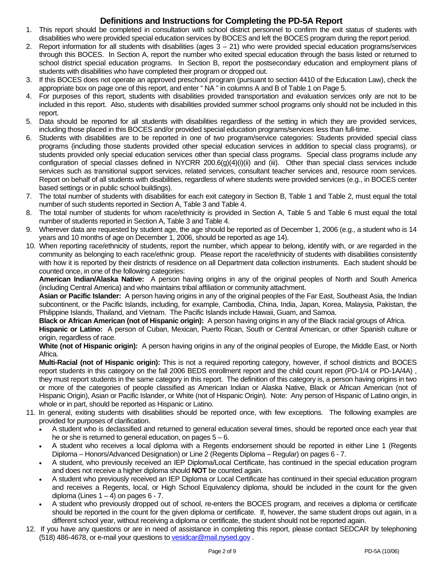#### **Definitions and Instructions for Completing the PD-5A Report**

- 1. This report should be completed in consultation with school district personnel to confirm the exit status of students with disabilities who were provided special education services by BOCES and left the BOCES program during the report period.
- 2. Report information for all students with disabilities (ages  $3 21$ ) who were provided special education programs/services through this BOCES. In Section A, report the number who exited special education through the basis listed or returned to school district special education programs. In Section B, report the postsecondary education and employment plans of students with disabilities who have completed their program or dropped out.
- 3. If this BOCES does not operate an approved preschool program (pursuant to section 4410 of the Education Law), check the appropriate box on page one of this report, and enter " NA " in columns A and B of Table 1 on Page 5.
- 4. For purposes of this report, students with disabilities provided transportation and evaluation services only are not to be included in this report. Also, students with disabilities provided summer school programs only should not be included in this report.
- 5. Data should be reported for all students with disabilities regardless of the setting in which they are provided services, including those placed in this BOCES and/or provided special education programs/services less than full-time.
- 6. Students with disabilities are to be reported in one of two program/service categories: Students provided special class programs (including those students provided other special education services in addition to special class programs), or students provided only special education services other than special class programs. Special class programs include any configuration of special classes defined in NYCRR 200.6(g)(4)(i)(ii) and (iii). Other than special class services include services such as transitional support services, related services, consultant teacher services and, resource room services. Report on behalf of all students with disabilities, regardless of where students were provided services (e.g., in BOCES center based settings or in public school buildings).
- 7. The total number of students with disabilities for each exit category in Section B, Table 1 and Table 2, must equal the total number of such students reported in Section A, Table 3 and Table 4.
- 8. The total number of students for whom race/ethnicity is provided in Section A, Table 5 and Table 6 must equal the total number of students reported in Section A, Table 3 and Table 4.
- 9. Wherever data are requested by student age, the age should be reported as of December 1, 2006 (e.g., a student who is 14 years and 10 months of age on December 1, 2006, should be reported as age 14).
- 10. When reporting race/ethnicity of students, report the number, which appear to belong, identify with, or are regarded in the community as belonging to each race/ethnic group. Please report the race/ethnicity of students with disabilities consistently with how it is reported by their districts of residence on all Department data collection instruments. Each student should be counted once, in one of the following categories:

**American Indian/Alaska Native:** A person having origins in any of the original peoples of North and South America (including Central America) and who maintains tribal affiliation or community attachment.

**Asian or Pacific Islander:** A person having origins in any of the original peoples of the Far East, Southeast Asia, the Indian subcontinent, or the Pacific Islands, including, for example, Cambodia, China, India, Japan, Korea, Malaysia, Pakistan, the Philippine Islands, Thailand, and Vietnam. The Pacific Islands include Hawaii, Guam, and Samoa.

**Black or African American (not of Hispanic origin):** A person having origins in any of the Black racial groups of Africa. **Hispanic or Latino:** A person of Cuban, Mexican, Puerto Rican, South or Central American, or other Spanish culture or origin, regardless of race.

**White (not of Hispanic origin):** A person having origins in any of the original peoples of Europe, the Middle East, or North Africa.

**Multi-Racial (not of Hispanic origin):** This is not a required reporting category, however, if school districts and BOCES report students in this category on the fall 2006 BEDS enrollment report and the child count report (PD-1/4 or PD-1A/4A) , they must report students in the same category in this report. The definition of this category is, a person having origins in two or more of the categories of people classified as American Indian or Alaska Native, Black or African American (not of Hispanic Origin), Asian or Pacific Islander, or White (not of Hispanic Origin). Note: Any person of Hispanic of Latino origin, in whole or in part, should be reported as Hispanic or Latino.

- 11. In general, exiting students with disabilities should be reported once, with few exceptions. The following examples are provided for purposes of clarification.
	- A student who is declassified and returned to general education several times, should be reported once each year that he or she is returned to general education, on pages  $5 - 6$ .
	- A student who receives a local diploma with a Regents endorsement should be reported in either Line 1 (Regents Diploma – Honors/Advanced Designation) or Line 2 (Regents Diploma – Regular) on pages 6 - 7.
	- A student, who previously received an IEP Diploma/Local Certificate, has continued in the special education program and does not receive a higher diploma should **NOT** be counted again.
	- A student who previously received an IEP Diploma or Local Certificate has continued in their special education program and receives a Regents, local, or High School Equivalency diploma, should be included in the count for the given diploma (Lines  $1 - 4$ ) on pages  $6 - 7$ .
	- A student who previously dropped out of school, re-enters the BOCES program, and receives a diploma or certificate should be reported in the count for the given diploma or certificate. If, however, the same student drops out again, in a different school year, without receiving a diploma or certificate, the student should not be reported again.
- 12. If you have any questions or are in need of assistance in completing this report, please contact SEDCAR by telephoning (518) 486-4678, or e-mail your questions to vesidcar@mail.nysed.gov .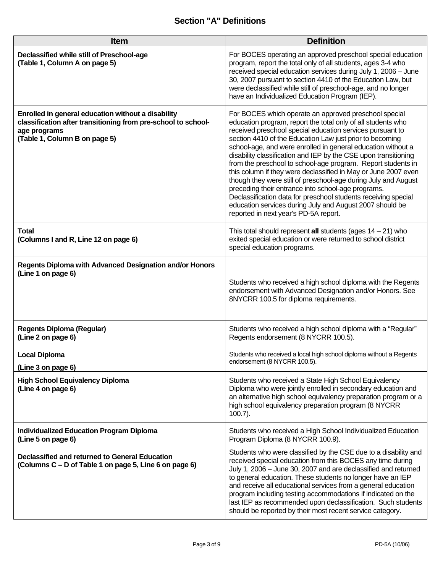# **Section "A" Definitions**

| <b>Item</b>                                                                                                                                                          | <b>Definition</b>                                                                                                                                                                                                                                                                                                                                                                                                                                                                                                                                                                                                                                                                                                                                                                                                  |
|----------------------------------------------------------------------------------------------------------------------------------------------------------------------|--------------------------------------------------------------------------------------------------------------------------------------------------------------------------------------------------------------------------------------------------------------------------------------------------------------------------------------------------------------------------------------------------------------------------------------------------------------------------------------------------------------------------------------------------------------------------------------------------------------------------------------------------------------------------------------------------------------------------------------------------------------------------------------------------------------------|
| Declassified while still of Preschool-age<br>(Table 1, Column A on page 5)                                                                                           | For BOCES operating an approved preschool special education<br>program, report the total only of all students, ages 3-4 who<br>received special education services during July 1, 2006 - June<br>30, 2007 pursuant to section 4410 of the Education Law, but<br>were declassified while still of preschool-age, and no longer<br>have an Individualized Education Program (IEP).                                                                                                                                                                                                                                                                                                                                                                                                                                   |
| Enrolled in general education without a disability<br>classification after transitioning from pre-school to school-<br>age programs<br>(Table 1, Column B on page 5) | For BOCES which operate an approved preschool special<br>education program, report the total only of all students who<br>received preschool special education services pursuant to<br>section 4410 of the Education Law just prior to becoming<br>school-age, and were enrolled in general education without a<br>disability classification and IEP by the CSE upon transitioning<br>from the preschool to school-age program. Report students in<br>this column if they were declassified in May or June 2007 even<br>though they were still of preschool-age during July and August<br>preceding their entrance into school-age programs.<br>Declassification data for preschool students receiving special<br>education services during July and August 2007 should be<br>reported in next year's PD-5A report. |
| <b>Total</b><br>(Columns I and R, Line 12 on page 6)                                                                                                                 | This total should represent all students (ages $14 - 21$ ) who<br>exited special education or were returned to school district<br>special education programs.                                                                                                                                                                                                                                                                                                                                                                                                                                                                                                                                                                                                                                                      |
| Regents Diploma with Advanced Designation and/or Honors<br>(Line 1 on page 6)                                                                                        | Students who received a high school diploma with the Regents<br>endorsement with Advanced Designation and/or Honors. See<br>8NYCRR 100.5 for diploma requirements.                                                                                                                                                                                                                                                                                                                                                                                                                                                                                                                                                                                                                                                 |
| <b>Regents Diploma (Regular)</b><br>(Line 2 on page 6)                                                                                                               | Students who received a high school diploma with a "Regular"<br>Regents endorsement (8 NYCRR 100.5).                                                                                                                                                                                                                                                                                                                                                                                                                                                                                                                                                                                                                                                                                                               |
| <b>Local Diploma</b><br>(Line 3 on page 6)                                                                                                                           | Students who received a local high school diploma without a Regents<br>endorsement (8 NYCRR 100.5).                                                                                                                                                                                                                                                                                                                                                                                                                                                                                                                                                                                                                                                                                                                |
| <b>High School Equivalency Diploma</b><br>(Line 4 on page 6)                                                                                                         | Students who received a State High School Equivalency<br>Diploma who were jointly enrolled in secondary education and<br>an alternative high school equivalency preparation program or a<br>high school equivalency preparation program (8 NYCRR<br>$100.7$ ).                                                                                                                                                                                                                                                                                                                                                                                                                                                                                                                                                     |
| <b>Individualized Education Program Diploma</b><br>(Line 5 on page 6)                                                                                                | Students who received a High School Individualized Education<br>Program Diploma (8 NYCRR 100.9).                                                                                                                                                                                                                                                                                                                                                                                                                                                                                                                                                                                                                                                                                                                   |
| Declassified and returned to General Education<br>(Columns C – D of Table 1 on page 5, Line 6 on page 6)                                                             | Students who were classified by the CSE due to a disability and<br>received special education from this BOCES any time during<br>July 1, 2006 - June 30, 2007 and are declassified and returned<br>to general education. These students no longer have an IEP<br>and receive all educational services from a general education<br>program including testing accommodations if indicated on the<br>last IEP as recommended upon declassification. Such students<br>should be reported by their most recent service category.                                                                                                                                                                                                                                                                                        |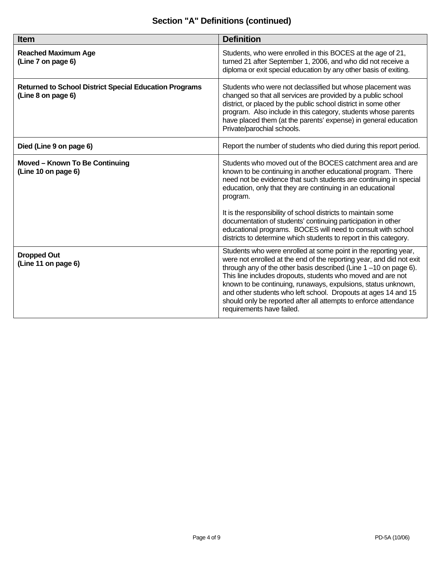# **Section "A" Definitions (continued)**

| Item                                                                                | <b>Definition</b>                                                                                                                                                                                                                                                                                                                                                                                                                                                                                             |
|-------------------------------------------------------------------------------------|---------------------------------------------------------------------------------------------------------------------------------------------------------------------------------------------------------------------------------------------------------------------------------------------------------------------------------------------------------------------------------------------------------------------------------------------------------------------------------------------------------------|
| <b>Reached Maximum Age</b><br>(Line 7 on page 6)                                    | Students, who were enrolled in this BOCES at the age of 21,<br>turned 21 after September 1, 2006, and who did not receive a<br>diploma or exit special education by any other basis of exiting.                                                                                                                                                                                                                                                                                                               |
| <b>Returned to School District Special Education Programs</b><br>(Line 8 on page 6) | Students who were not declassified but whose placement was<br>changed so that all services are provided by a public school<br>district, or placed by the public school district in some other<br>program. Also include in this category, students whose parents<br>have placed them (at the parents' expense) in general education<br>Private/parochial schools.                                                                                                                                              |
| Died (Line 9 on page 6)                                                             | Report the number of students who died during this report period.                                                                                                                                                                                                                                                                                                                                                                                                                                             |
| Moved - Known To Be Continuing<br>(Line 10 on page 6)                               | Students who moved out of the BOCES catchment area and are<br>known to be continuing in another educational program. There<br>need not be evidence that such students are continuing in special<br>education, only that they are continuing in an educational<br>program.<br>It is the responsibility of school districts to maintain some<br>documentation of students' continuing participation in other                                                                                                    |
|                                                                                     | educational programs. BOCES will need to consult with school<br>districts to determine which students to report in this category.                                                                                                                                                                                                                                                                                                                                                                             |
| <b>Dropped Out</b><br>(Line 11 on page 6)                                           | Students who were enrolled at some point in the reporting year,<br>were not enrolled at the end of the reporting year, and did not exit<br>through any of the other basis described (Line 1-10 on page 6).<br>This line includes dropouts, students who moved and are not<br>known to be continuing, runaways, expulsions, status unknown,<br>and other students who left school. Dropouts at ages 14 and 15<br>should only be reported after all attempts to enforce attendance<br>requirements have failed. |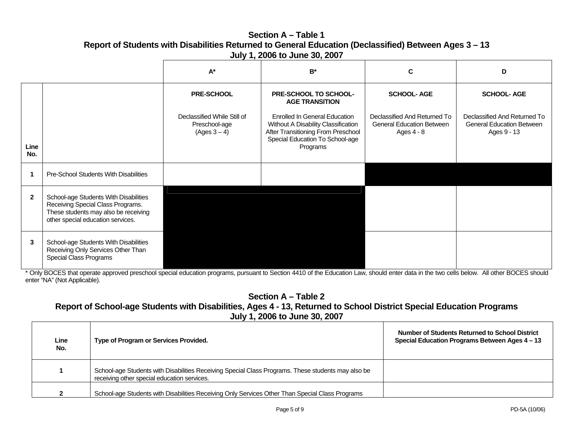### **Section A – Table 1Report of Students with Disabilities Returned to General Education (Declassified) Between Ages 3 – 13 July 1, 2006 to June 30, 2007**

|              |                                                                                                                                                         | $A^*$                                                        | $B^*$                                                                                                                                                            | C                                                                              | D                                                                               |
|--------------|---------------------------------------------------------------------------------------------------------------------------------------------------------|--------------------------------------------------------------|------------------------------------------------------------------------------------------------------------------------------------------------------------------|--------------------------------------------------------------------------------|---------------------------------------------------------------------------------|
|              |                                                                                                                                                         | <b>PRE-SCHOOL</b>                                            | PRE-SCHOOL TO SCHOOL-<br><b>AGE TRANSITION</b>                                                                                                                   | <b>SCHOOL-AGE</b>                                                              | <b>SCHOOL-AGE</b>                                                               |
| Line<br>No.  |                                                                                                                                                         | Declassified While Still of<br>Preschool-age<br>(Ages 3 – 4) | <b>Enrolled In General Education</b><br>Without A Disability Classification<br>After Transitioning From Preschool<br>Special Education To School-age<br>Programs | Declassified And Returned To<br><b>General Education Between</b><br>Ages 4 - 8 | Declassified And Returned To<br><b>General Education Between</b><br>Ages 9 - 13 |
|              | Pre-School Students With Disabilities                                                                                                                   |                                                              |                                                                                                                                                                  |                                                                                |                                                                                 |
| $\mathbf{2}$ | School-age Students With Disabilities<br>Receiving Special Class Programs.<br>These students may also be receiving<br>other special education services. |                                                              |                                                                                                                                                                  |                                                                                |                                                                                 |
| 3            | School-age Students With Disabilities<br>Receiving Only Services Other Than<br>Special Class Programs                                                   |                                                              |                                                                                                                                                                  |                                                                                |                                                                                 |

\* Only BOCES that operate approved preschool special education programs, pursuant to Section 4410 of the Education Law, should enter data in the two cells below. All other BOCES should enter "NA" (Not Applicable).

**Section A – Table 2** 

# **Report of School-age Students with Disabilities, Ages 4 - 13, Returned to School District Special Education Programs July 1, 2006 to June 30, 2007**

| Line<br>No. | Type of Program or Services Provided.                                                                                                             | Number of Students Returned to School District<br>Special Education Programs Between Ages 4 – 13 |
|-------------|---------------------------------------------------------------------------------------------------------------------------------------------------|--------------------------------------------------------------------------------------------------|
|             | School-age Students with Disabilities Receiving Special Class Programs. These students may also be<br>receiving other special education services. |                                                                                                  |
|             | School-age Students with Disabilities Receiving Only Services Other Than Special Class Programs                                                   |                                                                                                  |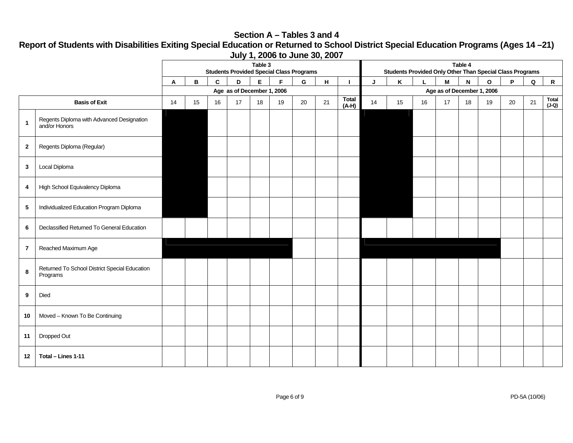### **Section A – Tables 3 and 4**

**Report of Students with Disabilities Exiting Special Education or Returned to School District Special Education Programs (Ages 14 –21) July 1, 2006 to June 30, 2007** 

|                |                                                            | Table 3<br><b>Students Provided Special Class Programs</b> |    |             |                            |    |             |    |    | Table 4<br>Students Provided Only Other Than Special Class Programs |                            |    |    |    |    |                |    |    |                         |
|----------------|------------------------------------------------------------|------------------------------------------------------------|----|-------------|----------------------------|----|-------------|----|----|---------------------------------------------------------------------|----------------------------|----|----|----|----|----------------|----|----|-------------------------|
|                |                                                            | Α                                                          | В  | $\mathbf c$ | D                          | E. | $\mathsf F$ | G  | H  |                                                                     | J                          | Κ  |    | M  | N  | $\mathsf{o}\,$ | P  | Q  | $\mathsf{R}$            |
|                |                                                            |                                                            |    |             | Age as of December 1, 2006 |    |             |    |    |                                                                     | Age as of December 1, 2006 |    |    |    |    |                |    |    |                         |
|                | <b>Basis of Exit</b>                                       | 14                                                         | 15 | 16          | 17                         | 18 | 19          | 20 | 21 | <b>Total</b><br>$(A-H)$                                             | 14                         | 15 | 16 | 17 | 18 | 19             | 20 | 21 | <b>Total</b><br>$(J-Q)$ |
| $\mathbf{1}$   | Regents Diploma with Advanced Designation<br>and/or Honors |                                                            |    |             |                            |    |             |    |    |                                                                     |                            |    |    |    |    |                |    |    |                         |
| $\overline{2}$ | Regents Diploma (Regular)                                  |                                                            |    |             |                            |    |             |    |    |                                                                     |                            |    |    |    |    |                |    |    |                         |
| $\mathbf{3}$   | Local Diploma                                              |                                                            |    |             |                            |    |             |    |    |                                                                     |                            |    |    |    |    |                |    |    |                         |
| 4              | High School Equivalency Diploma                            |                                                            |    |             |                            |    |             |    |    |                                                                     |                            |    |    |    |    |                |    |    |                         |
| $\sqrt{5}$     | Individualized Education Program Diploma                   |                                                            |    |             |                            |    |             |    |    |                                                                     |                            |    |    |    |    |                |    |    |                         |
| 6              | Declassified Returned To General Education                 |                                                            |    |             |                            |    |             |    |    |                                                                     |                            |    |    |    |    |                |    |    |                         |
| $\overline{7}$ | Reached Maximum Age                                        |                                                            |    |             |                            |    |             |    |    |                                                                     |                            |    |    |    |    |                |    |    |                         |
| 8              | Returned To School District Special Education<br>Programs  |                                                            |    |             |                            |    |             |    |    |                                                                     |                            |    |    |    |    |                |    |    |                         |
| 9              | Died                                                       |                                                            |    |             |                            |    |             |    |    |                                                                     |                            |    |    |    |    |                |    |    |                         |
| 10             | Moved - Known To Be Continuing                             |                                                            |    |             |                            |    |             |    |    |                                                                     |                            |    |    |    |    |                |    |    |                         |
| 11             | Dropped Out                                                |                                                            |    |             |                            |    |             |    |    |                                                                     |                            |    |    |    |    |                |    |    |                         |
| 12             | Total - Lines 1-11                                         |                                                            |    |             |                            |    |             |    |    |                                                                     |                            |    |    |    |    |                |    |    |                         |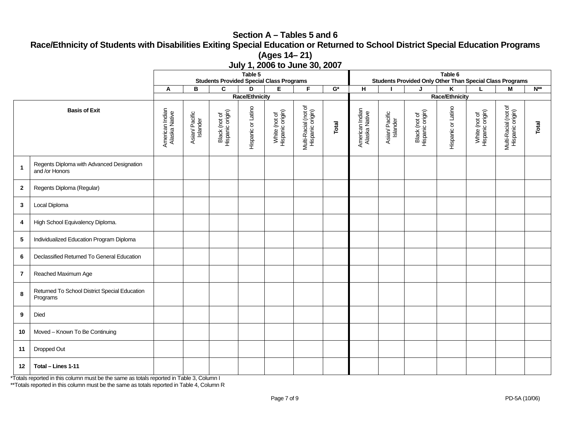# **Section A – Tables 5 and 6 Race/Ethnicity of Students with Disabilities Exiting Special Education or Returned to School District Special Education Programs (Ages 14– 21)**

|              |                                                             | 001 y 11, 2000 to 00110 00, 2007<br>Table 5                                                                  |                            |                                   |                    | Table 6                           |                                          |       |                                  |                                                                                                       |                                   |                    |                                   |                                          |       |  |
|--------------|-------------------------------------------------------------|--------------------------------------------------------------------------------------------------------------|----------------------------|-----------------------------------|--------------------|-----------------------------------|------------------------------------------|-------|----------------------------------|-------------------------------------------------------------------------------------------------------|-----------------------------------|--------------------|-----------------------------------|------------------------------------------|-------|--|
|              |                                                             | <b>Students Provided Special Class Programs</b><br>E.<br>F.<br>$\overline{\mathbf{G}^*}$<br>B<br>C<br>D<br>A |                            |                                   |                    |                                   |                                          |       |                                  | Students Provided Only Other Than Special Class Programs<br>$\overline{H}$<br>$N^{**}$<br>K<br>М<br>J |                                   |                    |                                   |                                          |       |  |
|              |                                                             | Race/Ethnicity                                                                                               |                            |                                   |                    |                                   |                                          |       | Race/Ethnicity                   |                                                                                                       |                                   |                    |                                   |                                          |       |  |
|              | <b>Basis of Exit</b>                                        | American Indian<br>Alaska Native                                                                             | Asian/ Pacific<br>Islander | Black (not of<br>Hispanic origin) | Hispanic or Latino | White (not of<br>Hispanic origin) | Multi-Racial (not of<br>Hispanic origin) | Total | American Indian<br>Alaska Native | Asian/ Pacific<br>Islander                                                                            | Black (not of<br>Hispanic origin) | Hispanic or Latino | White (not of<br>Hispanic origin) | Multi-Racial (not of<br>Hispanic origin) | Total |  |
| $\mathbf{1}$ | Regents Diploma with Advanced Designation<br>and /or Honors |                                                                                                              |                            |                                   |                    |                                   |                                          |       |                                  |                                                                                                       |                                   |                    |                                   |                                          |       |  |
| $\mathbf{2}$ | Regents Diploma (Regular)                                   |                                                                                                              |                            |                                   |                    |                                   |                                          |       |                                  |                                                                                                       |                                   |                    |                                   |                                          |       |  |
| 3            | Local Diploma                                               |                                                                                                              |                            |                                   |                    |                                   |                                          |       |                                  |                                                                                                       |                                   |                    |                                   |                                          |       |  |
| 4            | High School Equivalency Diploma.                            |                                                                                                              |                            |                                   |                    |                                   |                                          |       |                                  |                                                                                                       |                                   |                    |                                   |                                          |       |  |
| 5            | Individualized Education Program Diploma                    |                                                                                                              |                            |                                   |                    |                                   |                                          |       |                                  |                                                                                                       |                                   |                    |                                   |                                          |       |  |
| 6            | Declassified Returned To General Education                  |                                                                                                              |                            |                                   |                    |                                   |                                          |       |                                  |                                                                                                       |                                   |                    |                                   |                                          |       |  |
| $\mathbf{7}$ | Reached Maximum Age                                         |                                                                                                              |                            |                                   |                    |                                   |                                          |       |                                  |                                                                                                       |                                   |                    |                                   |                                          |       |  |
| 8            | Returned To School District Special Education<br>Programs   |                                                                                                              |                            |                                   |                    |                                   |                                          |       |                                  |                                                                                                       |                                   |                    |                                   |                                          |       |  |
| 9            | Died                                                        |                                                                                                              |                            |                                   |                    |                                   |                                          |       |                                  |                                                                                                       |                                   |                    |                                   |                                          |       |  |
| 10           | Moved - Known To Be Continuing                              |                                                                                                              |                            |                                   |                    |                                   |                                          |       |                                  |                                                                                                       |                                   |                    |                                   |                                          |       |  |
| 11           | Dropped Out                                                 |                                                                                                              |                            |                                   |                    |                                   |                                          |       |                                  |                                                                                                       |                                   |                    |                                   |                                          |       |  |
| 12           | Total - Lines 1-11                                          |                                                                                                              |                            |                                   |                    |                                   |                                          |       |                                  |                                                                                                       |                                   |                    |                                   |                                          |       |  |

**July 1, 2006 to June 30, 2007** 

\*Totals reported in this column must be the same as totals reported in Table 3, Column I

\*\*Totals reported in this column must be the same as totals reported in Table 4, Column R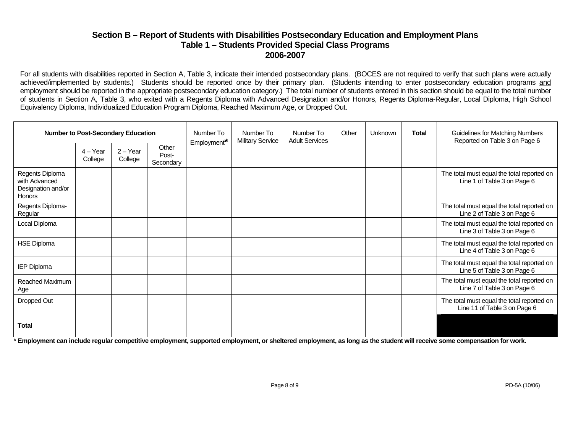#### **Section B – Report of Students with Disabilities Postsecondary Education and Employment Plans Table 1 – Students Provided Special Class Programs 2006-2007**

For all students with disabilities reported in Section A, Table 3, indicate their intended postsecondary plans. (BOCES are not required to verify that such plans were actually achieved/implemented by students.) Students should be reported once by their primary plan. (Students intending to enter postsecondary education programs and employment should be reported in the appropriate postsecondary education category.) The total number of students entered in this section should be equal to the total number of students in Section A, Table 3, who exited with a Regents Diploma with Advanced Designation and/or Honors, Regents Diploma-Regular, Local Diploma, High School Equivalency Diploma, Individualized Education Program Diploma, Reached Maximum Age, or Dropped Out.

|                                                                  | <b>Number to Post-Secondary Education</b> |                       |                             | Number To<br>Employment* | Number To<br><b>Military Service</b> | Number To<br><b>Adult Services</b> | Other | Unknown | Total | <b>Guidelines for Matching Numbers</b><br>Reported on Table 3 on Page 6    |
|------------------------------------------------------------------|-------------------------------------------|-----------------------|-----------------------------|--------------------------|--------------------------------------|------------------------------------|-------|---------|-------|----------------------------------------------------------------------------|
|                                                                  | $4 - Year$<br>College                     | $2 - Year$<br>College | Other<br>Post-<br>Secondary |                          |                                      |                                    |       |         |       |                                                                            |
| Regents Diploma<br>with Advanced<br>Designation and/or<br>Honors |                                           |                       |                             |                          |                                      |                                    |       |         |       | The total must equal the total reported on<br>Line 1 of Table 3 on Page 6  |
| Regents Diploma-<br>Regular                                      |                                           |                       |                             |                          |                                      |                                    |       |         |       | The total must equal the total reported on<br>Line 2 of Table 3 on Page 6  |
| Local Diploma                                                    |                                           |                       |                             |                          |                                      |                                    |       |         |       | The total must equal the total reported on<br>Line 3 of Table 3 on Page 6  |
| <b>HSE Diploma</b>                                               |                                           |                       |                             |                          |                                      |                                    |       |         |       | The total must equal the total reported on<br>Line 4 of Table 3 on Page 6  |
| <b>IEP Diploma</b>                                               |                                           |                       |                             |                          |                                      |                                    |       |         |       | The total must equal the total reported on<br>Line 5 of Table 3 on Page 6  |
| Reached Maximum<br>Age                                           |                                           |                       |                             |                          |                                      |                                    |       |         |       | The total must equal the total reported on<br>Line 7 of Table 3 on Page 6  |
| Dropped Out                                                      |                                           |                       |                             |                          |                                      |                                    |       |         |       | The total must equal the total reported on<br>Line 11 of Table 3 on Page 6 |
| <b>Total</b>                                                     |                                           |                       |                             |                          |                                      |                                    |       |         |       |                                                                            |

\* **Employment can include regular competitive employment, supported employment, or sheltered employment, as long as the student will receive some compensation for work.**